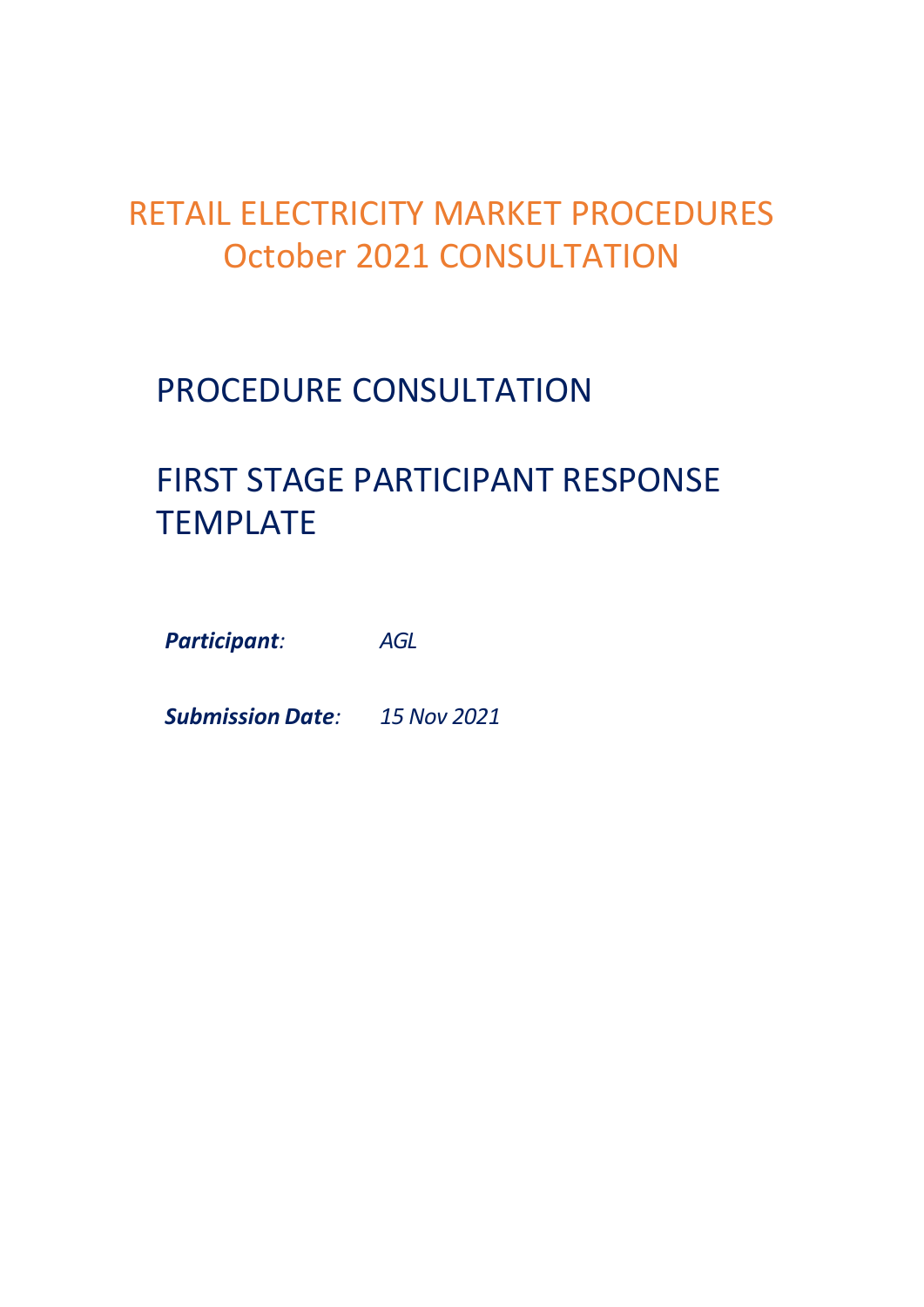## RETAIL ELECTRICITY MARKET PROCEDURES October 2021 CONSULTATION

## PROCEDURE CONSULTATION

# FIRST STAGE PARTICIPANT RESPONSE TEMPLATE

*Participant: AGL*

*Submission Date: 15 Nov 2021*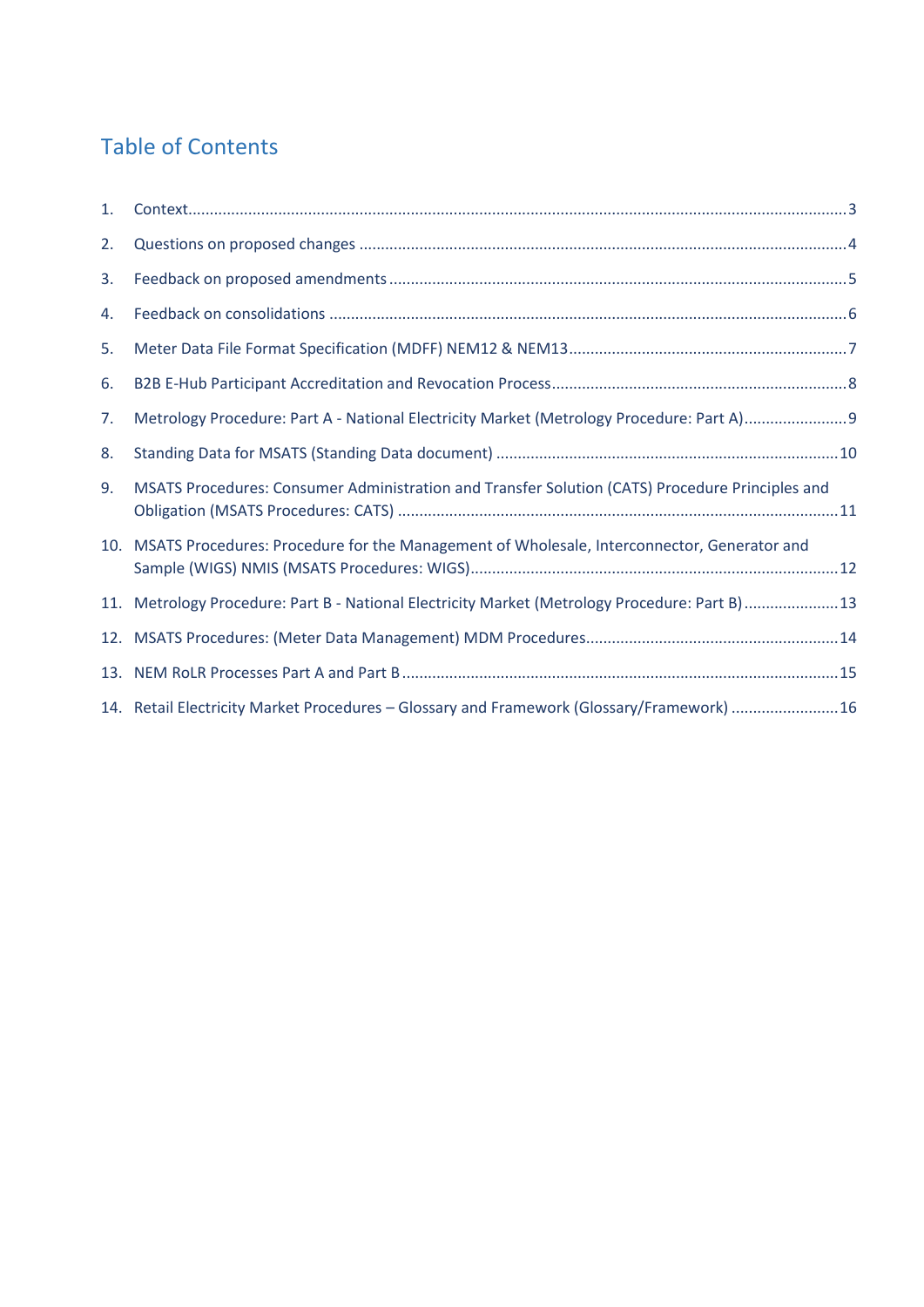#### Table of Contents

| 1. | $Context. \color{blue}{ \color{blue}{5.5.5} \hspace*{1.25.5ex} \textbf{Context.} \color{blue}{ \color{blue}{1.5.5} \hspace*{1.25.5ex} \textbf{Context.} \color{blue}{ \color{blue}{1.5.5} \hspace*{1.25.5ex} \textbf{Context.} \color{blue}{ \color{blue}{1.5.5} \hspace*{1.25.5ex} \textbf{Context.} \color{blue}{ \color{blue}{1.5.5} \hspace*{1.25.5ex} \textbf{Context.} \color{blue}{ \color{blue}{1.5.5} \hspace*{1.25.5ex} \textbf$ |
|----|--------------------------------------------------------------------------------------------------------------------------------------------------------------------------------------------------------------------------------------------------------------------------------------------------------------------------------------------------------------------------------------------------------------------------------------------|
| 2. |                                                                                                                                                                                                                                                                                                                                                                                                                                            |
| 3. |                                                                                                                                                                                                                                                                                                                                                                                                                                            |
| 4. |                                                                                                                                                                                                                                                                                                                                                                                                                                            |
| 5. |                                                                                                                                                                                                                                                                                                                                                                                                                                            |
| 6. |                                                                                                                                                                                                                                                                                                                                                                                                                                            |
| 7. | Metrology Procedure: Part A - National Electricity Market (Metrology Procedure: Part A)                                                                                                                                                                                                                                                                                                                                                    |
| 8. |                                                                                                                                                                                                                                                                                                                                                                                                                                            |
| 9. | MSATS Procedures: Consumer Administration and Transfer Solution (CATS) Procedure Principles and                                                                                                                                                                                                                                                                                                                                            |
|    | 10. MSATS Procedures: Procedure for the Management of Wholesale, Interconnector, Generator and                                                                                                                                                                                                                                                                                                                                             |
|    | 11. Metrology Procedure: Part B - National Electricity Market (Metrology Procedure: Part B)13                                                                                                                                                                                                                                                                                                                                              |
|    |                                                                                                                                                                                                                                                                                                                                                                                                                                            |
|    |                                                                                                                                                                                                                                                                                                                                                                                                                                            |
|    | 14. Retail Electricity Market Procedures - Glossary and Framework (Glossary/Framework) 16                                                                                                                                                                                                                                                                                                                                                  |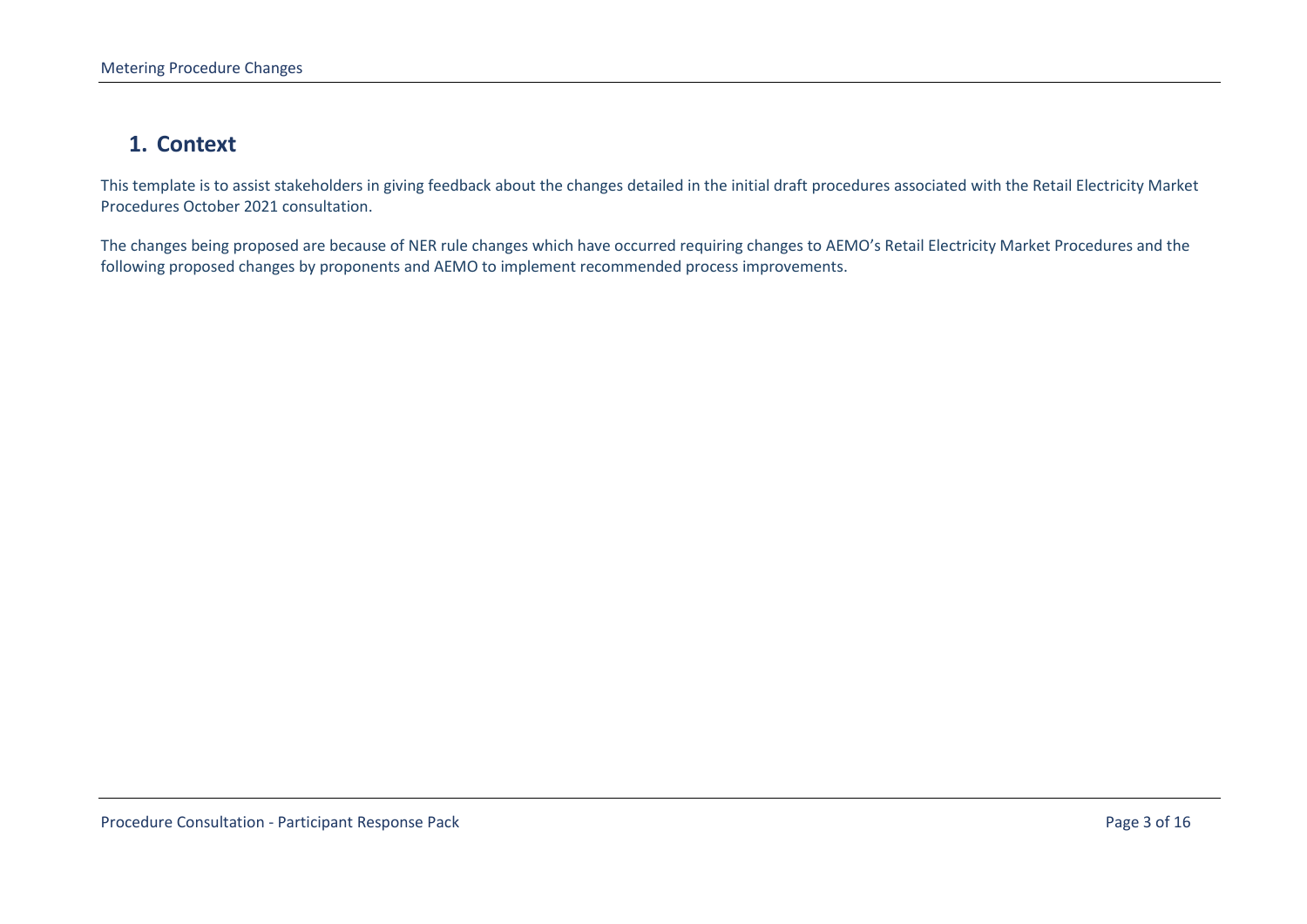#### **1. Context**

This template is to assist stakeholders in giving feedback about the changes detailed in the initial draft procedures associated with the Retail Electricity Market Procedures October 2021 consultation.

<span id="page-2-1"></span><span id="page-2-0"></span>The changes being proposed are because of NER rule changes which have occurred requiring changes to AEMO's Retail Electricity Market Procedures and the following proposed changes by proponents and AEMO to implement recommended process improvements.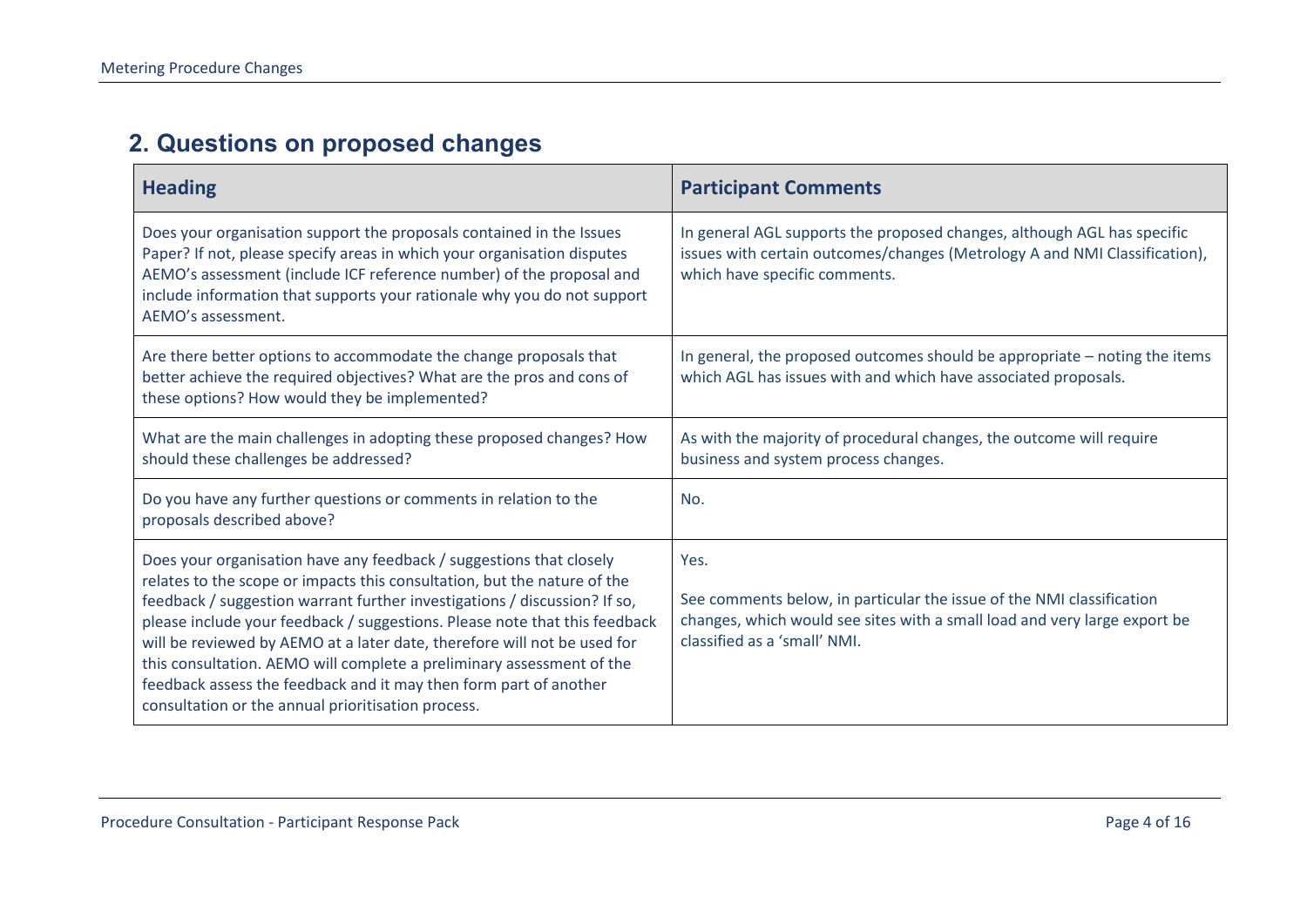### **2. Questions on proposed changes**

| <b>Heading</b>                                                                                                                                                                                                                                                                                                                                                                                                                                                                                                                                                                             | <b>Participant Comments</b>                                                                                                                                                                |
|--------------------------------------------------------------------------------------------------------------------------------------------------------------------------------------------------------------------------------------------------------------------------------------------------------------------------------------------------------------------------------------------------------------------------------------------------------------------------------------------------------------------------------------------------------------------------------------------|--------------------------------------------------------------------------------------------------------------------------------------------------------------------------------------------|
| Does your organisation support the proposals contained in the Issues<br>Paper? If not, please specify areas in which your organisation disputes<br>AEMO's assessment (include ICF reference number) of the proposal and<br>include information that supports your rationale why you do not support<br>AEMO's assessment.                                                                                                                                                                                                                                                                   | In general AGL supports the proposed changes, although AGL has specific<br>issues with certain outcomes/changes (Metrology A and NMI Classification),<br>which have specific comments.     |
| Are there better options to accommodate the change proposals that<br>better achieve the required objectives? What are the pros and cons of<br>these options? How would they be implemented?                                                                                                                                                                                                                                                                                                                                                                                                | In general, the proposed outcomes should be appropriate - noting the items<br>which AGL has issues with and which have associated proposals.                                               |
| What are the main challenges in adopting these proposed changes? How<br>should these challenges be addressed?                                                                                                                                                                                                                                                                                                                                                                                                                                                                              | As with the majority of procedural changes, the outcome will require<br>business and system process changes.                                                                               |
| Do you have any further questions or comments in relation to the<br>proposals described above?                                                                                                                                                                                                                                                                                                                                                                                                                                                                                             | No.                                                                                                                                                                                        |
| Does your organisation have any feedback / suggestions that closely<br>relates to the scope or impacts this consultation, but the nature of the<br>feedback / suggestion warrant further investigations / discussion? If so,<br>please include your feedback / suggestions. Please note that this feedback<br>will be reviewed by AEMO at a later date, therefore will not be used for<br>this consultation. AEMO will complete a preliminary assessment of the<br>feedback assess the feedback and it may then form part of another<br>consultation or the annual prioritisation process. | Yes.<br>See comments below, in particular the issue of the NMI classification<br>changes, which would see sites with a small load and very large export be<br>classified as a 'small' NMI. |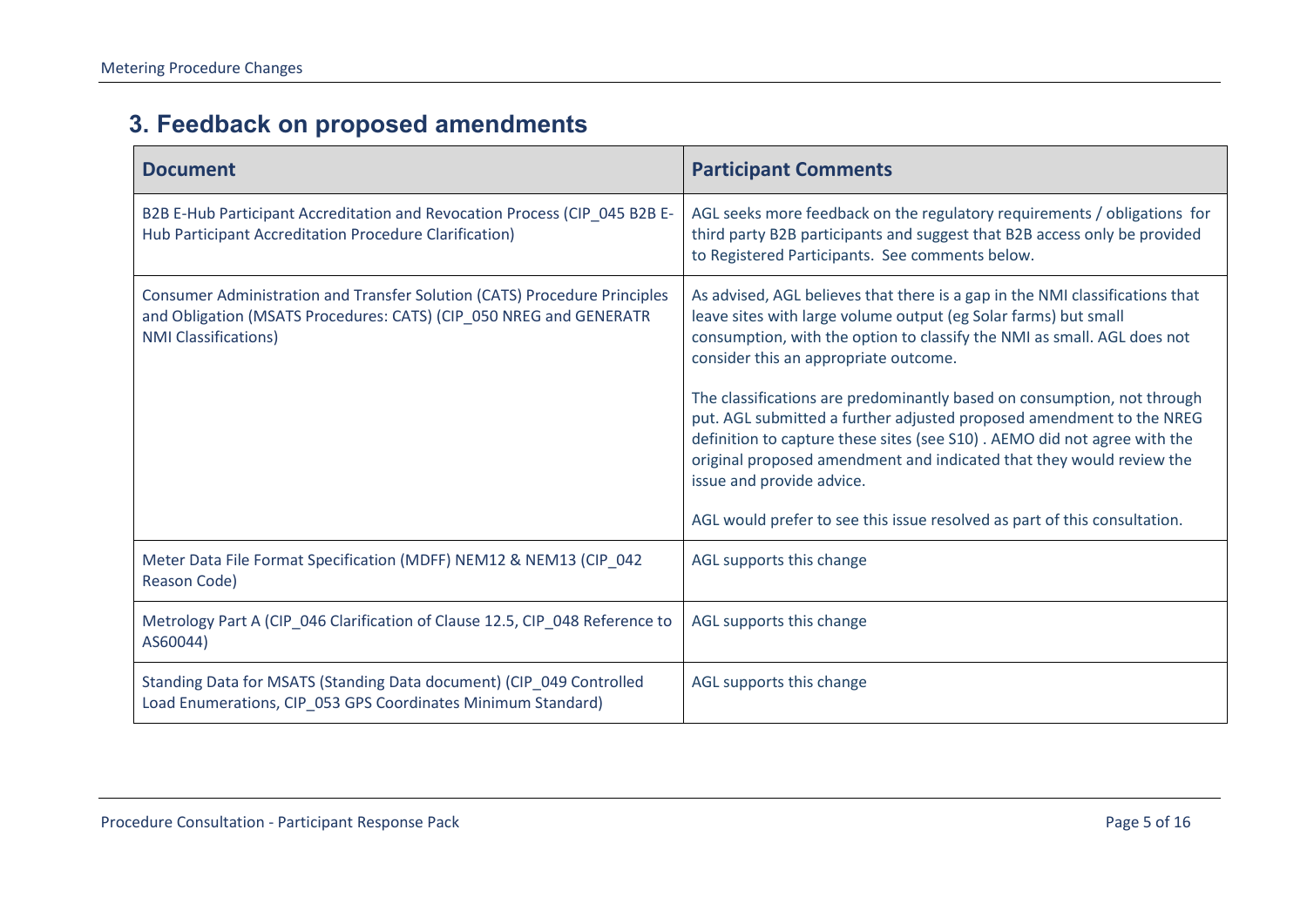### **3. Feedback on proposed amendments**

<span id="page-4-1"></span><span id="page-4-0"></span>

| <b>Document</b>                                                                                                                                                                | <b>Participant Comments</b>                                                                                                                                                                                                                                                                                                                                                                                                                                                                                                                                                                                                                                                          |
|--------------------------------------------------------------------------------------------------------------------------------------------------------------------------------|--------------------------------------------------------------------------------------------------------------------------------------------------------------------------------------------------------------------------------------------------------------------------------------------------------------------------------------------------------------------------------------------------------------------------------------------------------------------------------------------------------------------------------------------------------------------------------------------------------------------------------------------------------------------------------------|
| B2B E-Hub Participant Accreditation and Revocation Process (CIP_045 B2B E-<br>Hub Participant Accreditation Procedure Clarification)                                           | AGL seeks more feedback on the regulatory requirements / obligations for<br>third party B2B participants and suggest that B2B access only be provided<br>to Registered Participants. See comments below.                                                                                                                                                                                                                                                                                                                                                                                                                                                                             |
| Consumer Administration and Transfer Solution (CATS) Procedure Principles<br>and Obligation (MSATS Procedures: CATS) (CIP_050 NREG and GENERATR<br><b>NMI Classifications)</b> | As advised, AGL believes that there is a gap in the NMI classifications that<br>leave sites with large volume output (eg Solar farms) but small<br>consumption, with the option to classify the NMI as small. AGL does not<br>consider this an appropriate outcome.<br>The classifications are predominantly based on consumption, not through<br>put. AGL submitted a further adjusted proposed amendment to the NREG<br>definition to capture these sites (see S10). AEMO did not agree with the<br>original proposed amendment and indicated that they would review the<br>issue and provide advice.<br>AGL would prefer to see this issue resolved as part of this consultation. |
| Meter Data File Format Specification (MDFF) NEM12 & NEM13 (CIP_042<br>Reason Code)                                                                                             | AGL supports this change                                                                                                                                                                                                                                                                                                                                                                                                                                                                                                                                                                                                                                                             |
| Metrology Part A (CIP_046 Clarification of Clause 12.5, CIP_048 Reference to<br>AS60044)                                                                                       | AGL supports this change                                                                                                                                                                                                                                                                                                                                                                                                                                                                                                                                                                                                                                                             |
| Standing Data for MSATS (Standing Data document) (CIP_049 Controlled<br>Load Enumerations, CIP_053 GPS Coordinates Minimum Standard)                                           | AGL supports this change                                                                                                                                                                                                                                                                                                                                                                                                                                                                                                                                                                                                                                                             |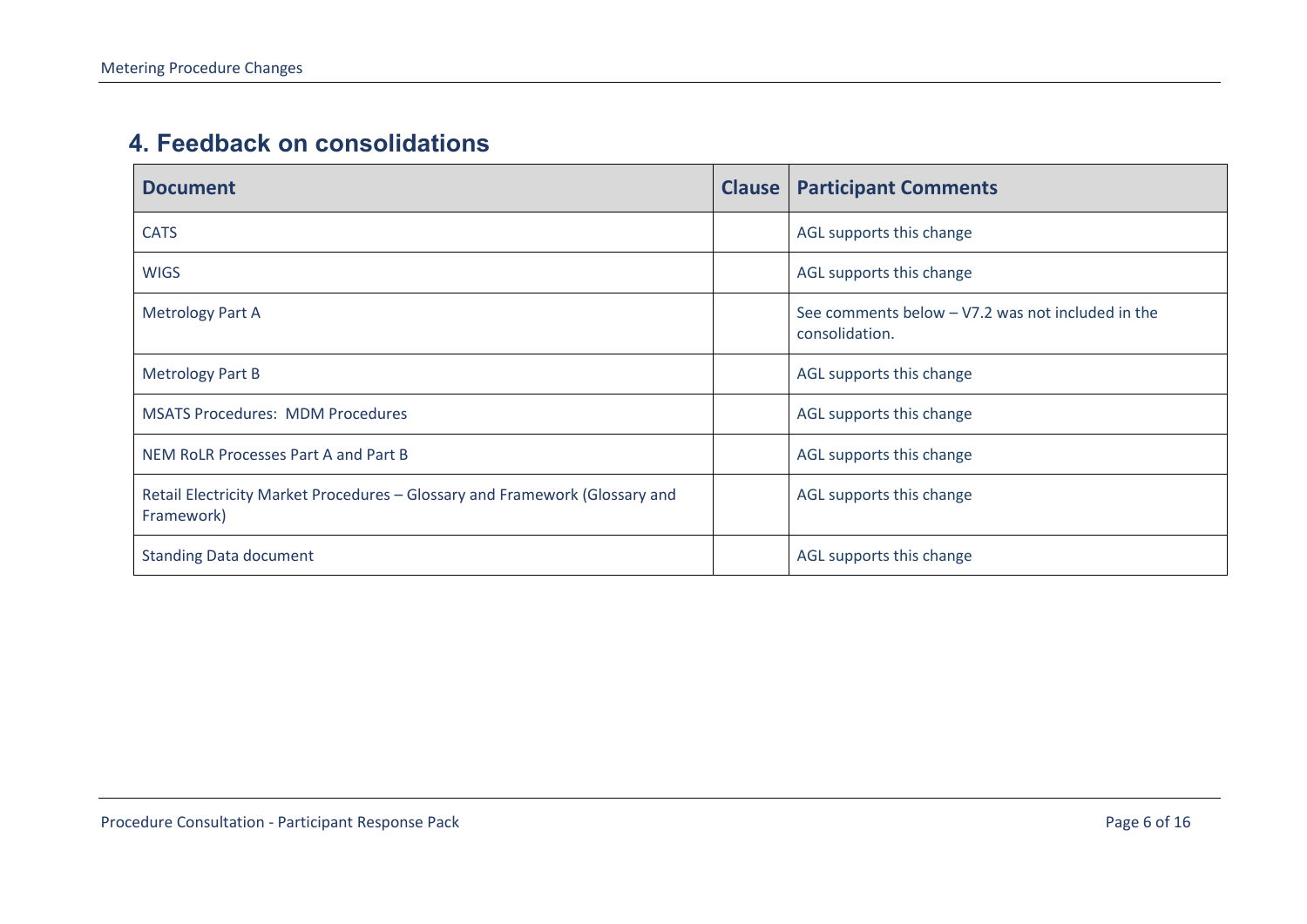#### **4. Feedback on consolidations**

<span id="page-5-0"></span>

| <b>Document</b>                                                                           | <b>Clause   Participant Comments</b>                                  |
|-------------------------------------------------------------------------------------------|-----------------------------------------------------------------------|
| <b>CATS</b>                                                                               | AGL supports this change                                              |
| <b>WIGS</b>                                                                               | AGL supports this change                                              |
| <b>Metrology Part A</b>                                                                   | See comments below $-$ V7.2 was not included in the<br>consolidation. |
| <b>Metrology Part B</b>                                                                   | AGL supports this change                                              |
| <b>MSATS Procedures: MDM Procedures</b>                                                   | AGL supports this change                                              |
| NEM RoLR Processes Part A and Part B                                                      | AGL supports this change                                              |
| Retail Electricity Market Procedures - Glossary and Framework (Glossary and<br>Framework) | AGL supports this change                                              |
| <b>Standing Data document</b>                                                             | AGL supports this change                                              |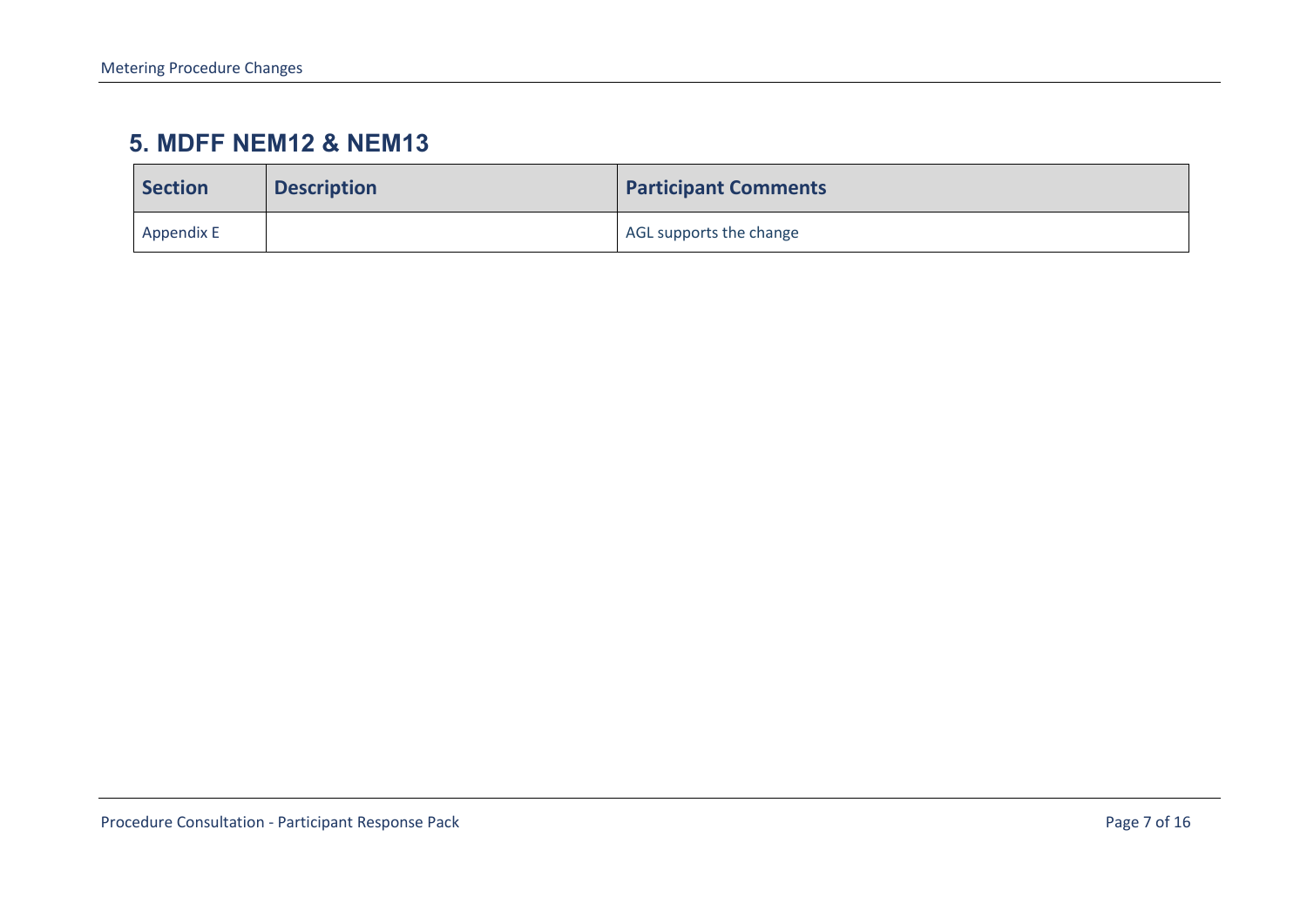#### **5. MDFF NEM12 & NEM13**

<span id="page-6-0"></span>

| <b>Section</b> | <b>Description</b> | <b>Participant Comments</b> |
|----------------|--------------------|-----------------------------|
| Appendix E     |                    | AGL supports the change     |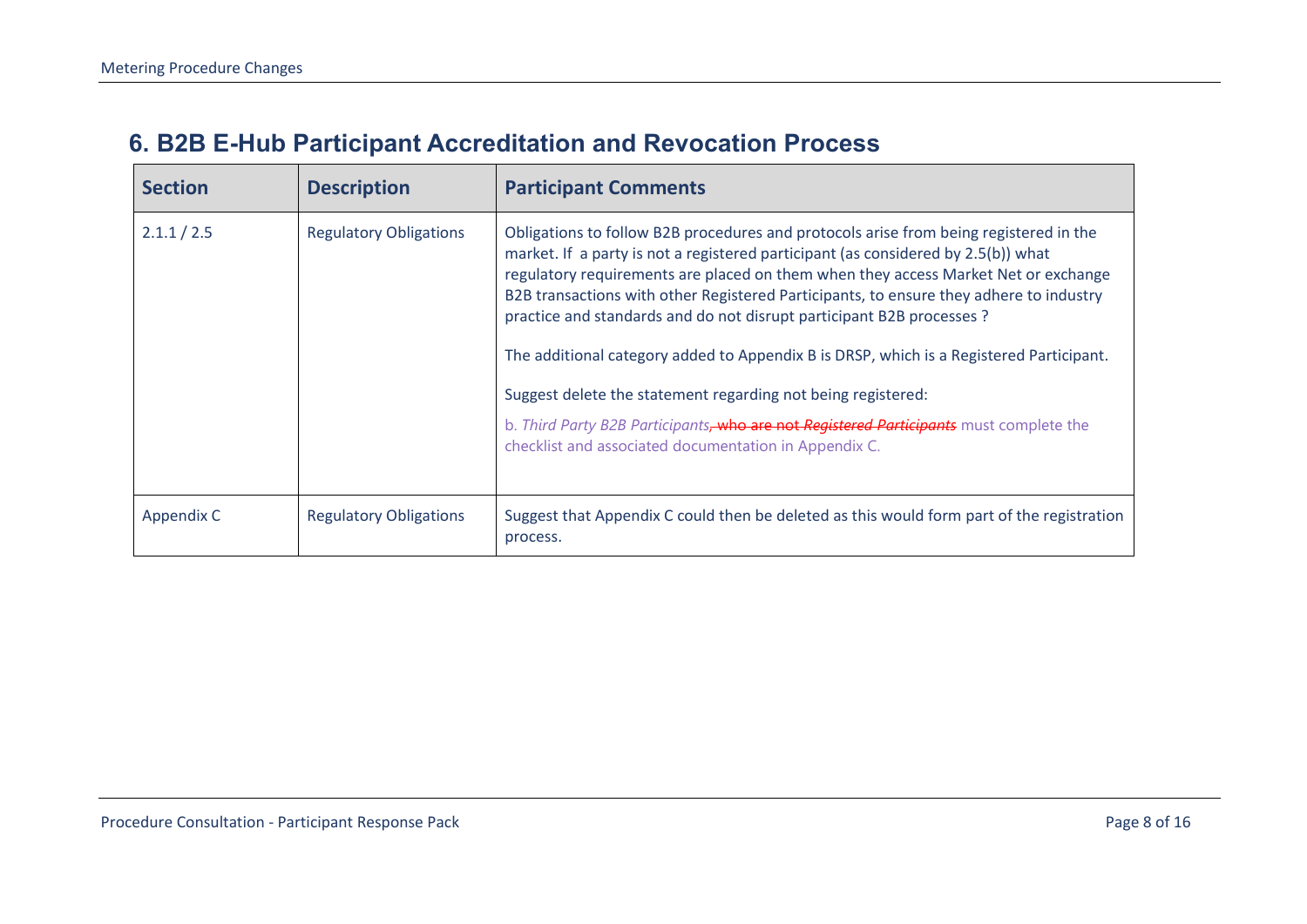### **6. B2B E-Hub Participant Accreditation and Revocation Process**

<span id="page-7-0"></span>

| <b>Section</b> | <b>Description</b>            | <b>Participant Comments</b>                                                                                                                                                                                                                                                                                                                                                                                                                                                                                                                                                                                                                                                                                                                       |
|----------------|-------------------------------|---------------------------------------------------------------------------------------------------------------------------------------------------------------------------------------------------------------------------------------------------------------------------------------------------------------------------------------------------------------------------------------------------------------------------------------------------------------------------------------------------------------------------------------------------------------------------------------------------------------------------------------------------------------------------------------------------------------------------------------------------|
| 2.1.1 / 2.5    | <b>Regulatory Obligations</b> | Obligations to follow B2B procedures and protocols arise from being registered in the<br>market. If a party is not a registered participant (as considered by 2.5(b)) what<br>regulatory requirements are placed on them when they access Market Net or exchange<br>B2B transactions with other Registered Participants, to ensure they adhere to industry<br>practice and standards and do not disrupt participant B2B processes ?<br>The additional category added to Appendix B is DRSP, which is a Registered Participant.<br>Suggest delete the statement regarding not being registered:<br>b. Third Party B2B Participants, who are not Registered Participants must complete the<br>checklist and associated documentation in Appendix C. |
| Appendix C     | <b>Regulatory Obligations</b> | Suggest that Appendix C could then be deleted as this would form part of the registration<br>process.                                                                                                                                                                                                                                                                                                                                                                                                                                                                                                                                                                                                                                             |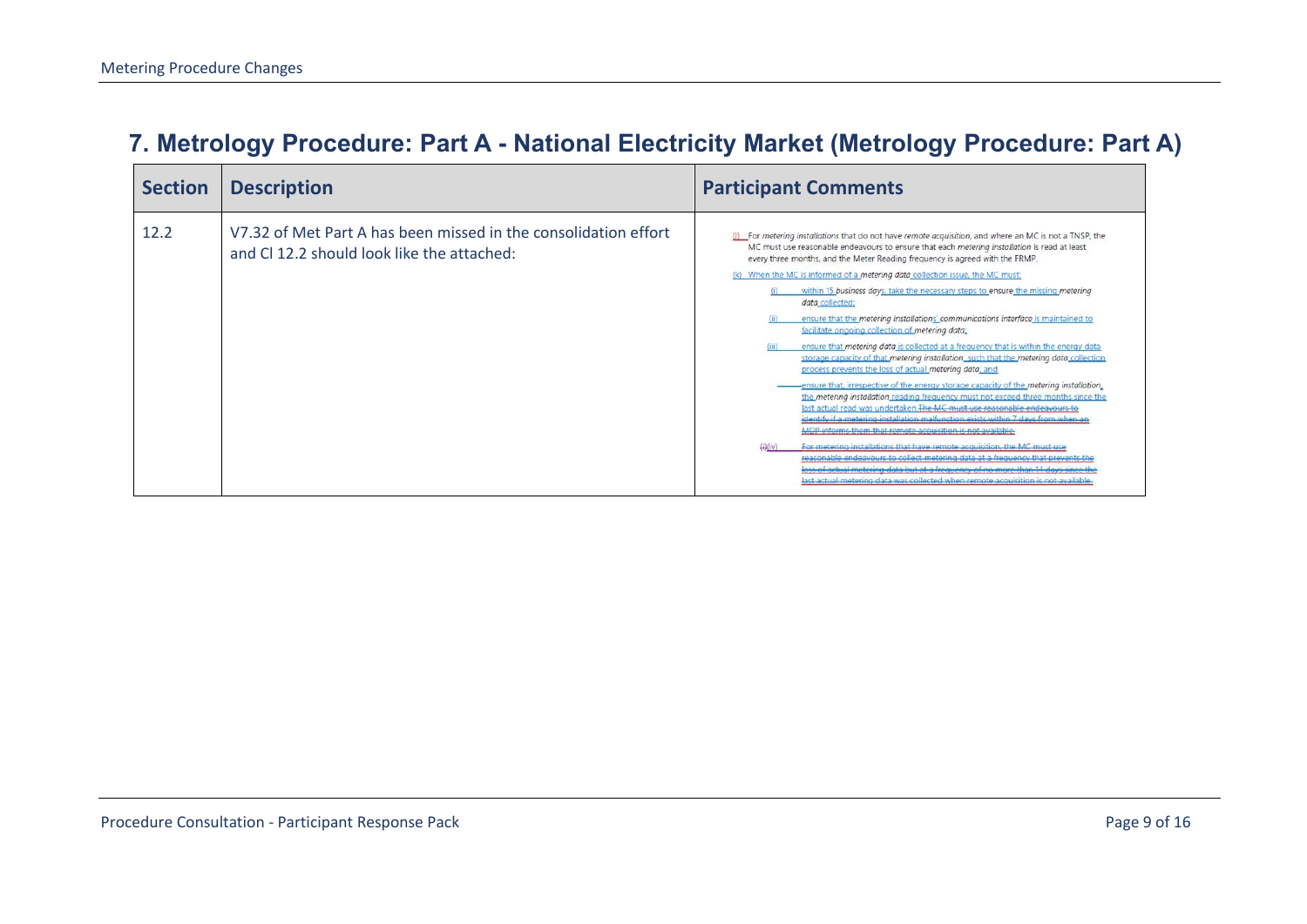### **7. Metrology Procedure: Part A - National Electricity Market (Metrology Procedure: Part A)**

<span id="page-8-0"></span>

| <b>Section</b> | <b>Description</b>                                                                                           | <b>Participant Comments</b>                                                                                                                                                                                                                                                                                                                                                                                                                                                                                                                                                                                                                                                                                                                                                                                                                                                                                                                                                                                                                                                                                                                                                                                                                                                                                                                                                                                                                                                                                                                                                                                             |
|----------------|--------------------------------------------------------------------------------------------------------------|-------------------------------------------------------------------------------------------------------------------------------------------------------------------------------------------------------------------------------------------------------------------------------------------------------------------------------------------------------------------------------------------------------------------------------------------------------------------------------------------------------------------------------------------------------------------------------------------------------------------------------------------------------------------------------------------------------------------------------------------------------------------------------------------------------------------------------------------------------------------------------------------------------------------------------------------------------------------------------------------------------------------------------------------------------------------------------------------------------------------------------------------------------------------------------------------------------------------------------------------------------------------------------------------------------------------------------------------------------------------------------------------------------------------------------------------------------------------------------------------------------------------------------------------------------------------------------------------------------------------------|
| 12.2           | V7.32 of Met Part A has been missed in the consolidation effort<br>and CL12.2 should look like the attached: | (i) For metering installations that do not have remote acquisition, and where an MC is not a TNSP, the<br>MC must use reasonable endeavours to ensure that each metering installation is read at least<br>every three months, and the Meter Reading frequency is agreed with the FRMP.<br>(k) When the MC is informed of a metering data collection issue, the MC must<br>within 15 business days, take the necessary steps to ensure the missing metering<br>data collected;<br>ensure that the metering installations' communications interface is maintained to<br>facilitate ongoing collection of metering data;<br>ensure that metering data is collected at a frequency that is within the energy data<br>storage capacity of that metering installation_such that the metering data collection<br>process prevents the loss of actual metering data; and<br>ensure that, irrespective of the energy storage capacity of the metering installation,<br>the metering installation reading frequency must not exceed three months since the<br>last actual read was undertaken. The MC must use reasonable endeavours to<br>identify if a metering installation malfunction exists within 7 days from when an<br>MDP informs them that remote acquisition is not available.<br>For metering installations that have remote acquisition, the MC must use<br>reasonable endeavours to collect metering data at a frequency that prevents the<br>ass of actual metering data but at a frequency of no more than 14 days since the<br>last actual metering data was collected when remote acquisition is not available |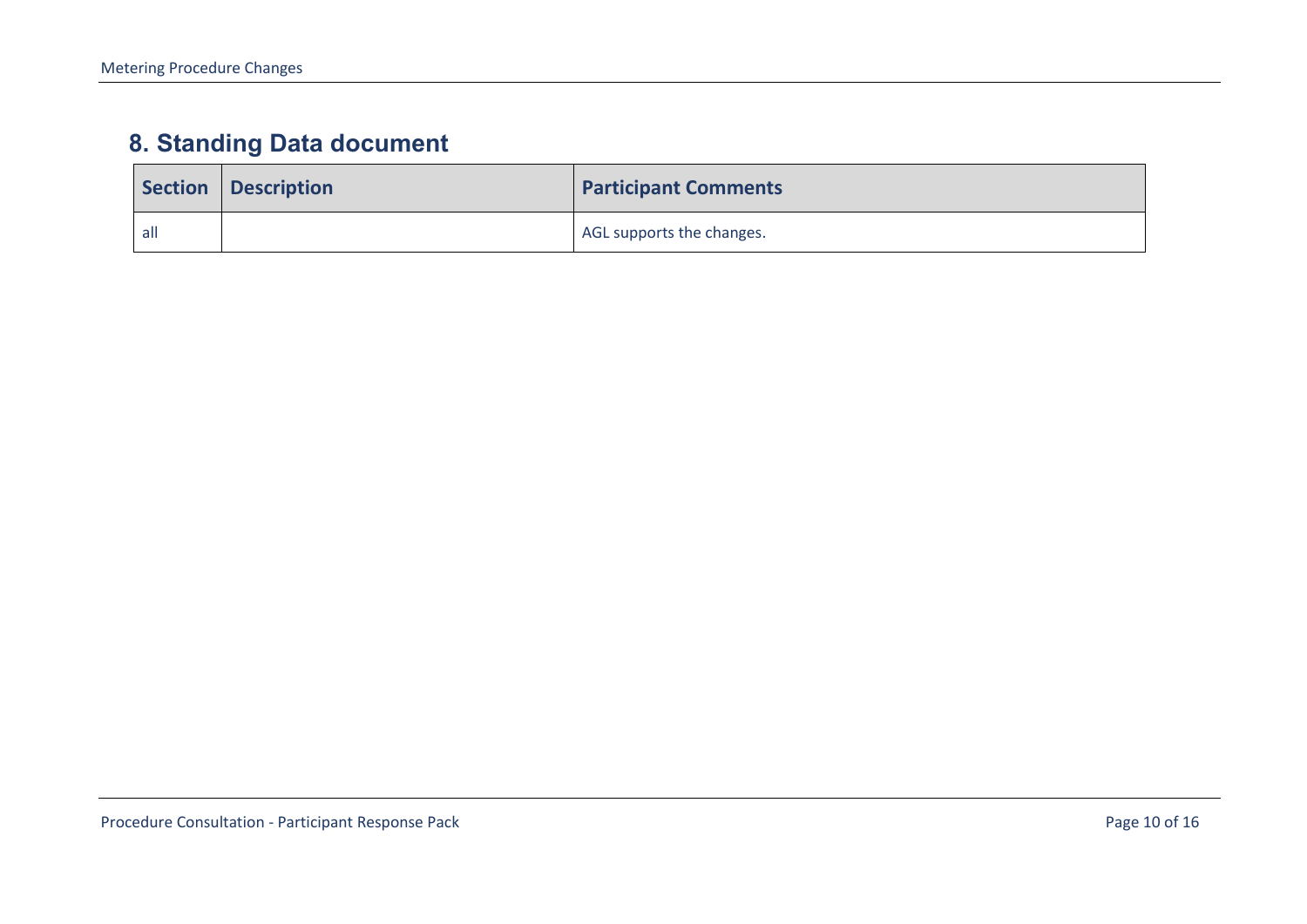## **8. Standing Data document**

<span id="page-9-0"></span>

|     | Section   Description | <b>Participant Comments</b> |
|-----|-----------------------|-----------------------------|
| all |                       | AGL supports the changes.   |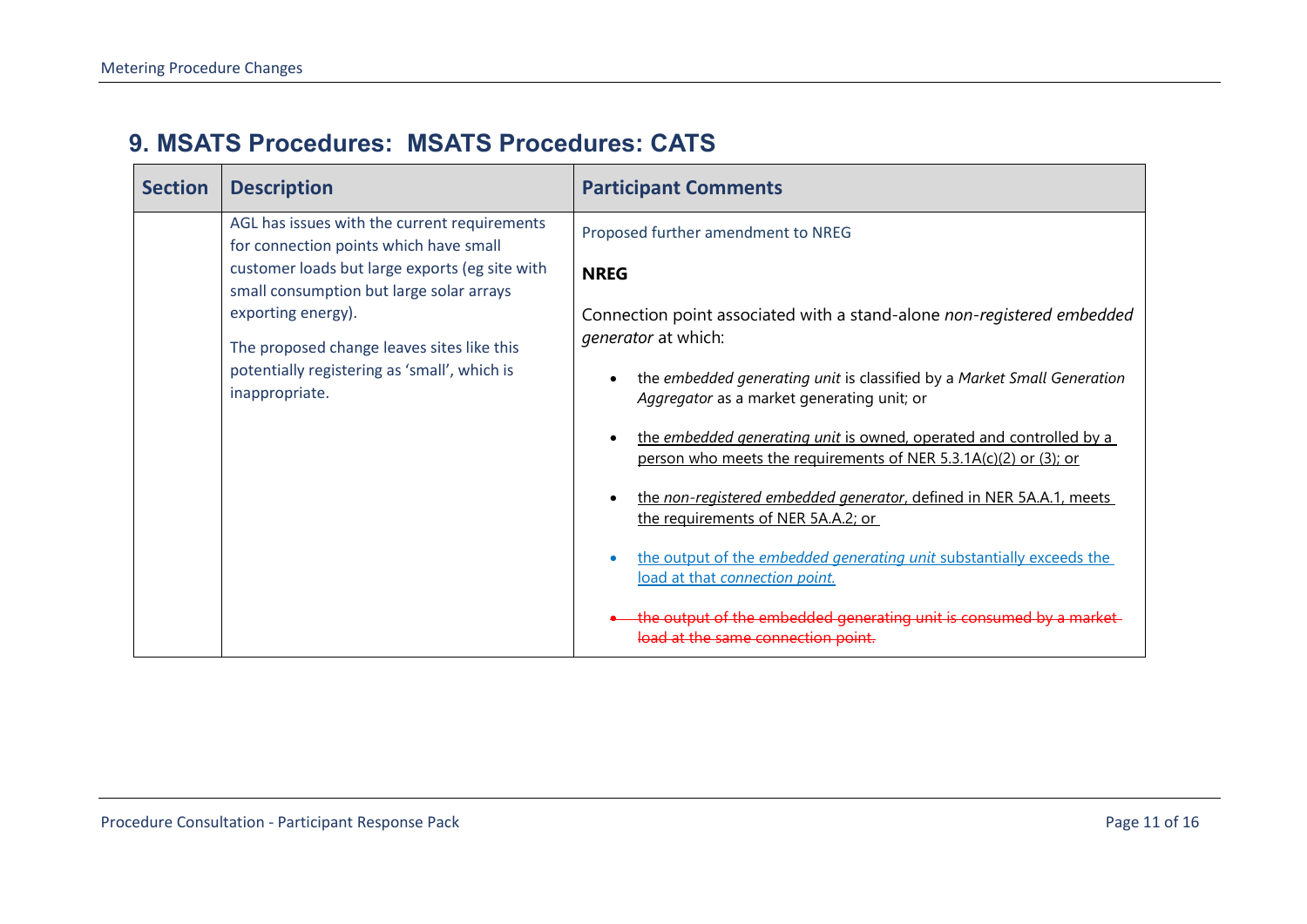#### **9. MSATS Procedures: MSATS Procedures: CATS**

<span id="page-10-0"></span>

| <b>Section</b> | <b>Description</b>                                                                         | <b>Participant Comments</b>                                                                                                             |
|----------------|--------------------------------------------------------------------------------------------|-----------------------------------------------------------------------------------------------------------------------------------------|
|                | AGL has issues with the current requirements<br>for connection points which have small     | Proposed further amendment to NREG                                                                                                      |
|                | customer loads but large exports (eg site with<br>small consumption but large solar arrays | <b>NREG</b>                                                                                                                             |
|                | exporting energy).<br>The proposed change leaves sites like this                           | Connection point associated with a stand-alone non-registered embedded<br><i>generator</i> at which:                                    |
|                | potentially registering as 'small', which is<br>inappropriate.                             | the embedded generating unit is classified by a Market Small Generation<br>Aggregator as a market generating unit; or                   |
|                |                                                                                            | the embedded generating unit is owned, operated and controlled by a<br>person who meets the requirements of NER 5.3.1A(c)(2) or (3); or |
|                |                                                                                            | the non-registered embedded generator, defined in NER 5A.A.1, meets<br>the requirements of NER 5A.A.2; or                               |
|                |                                                                                            | the output of the embedded generating unit substantially exceeds the<br>load at that connection point.                                  |
|                |                                                                                            | the output of the embedded generating unit is consumed by a market<br>at the same connection point.                                     |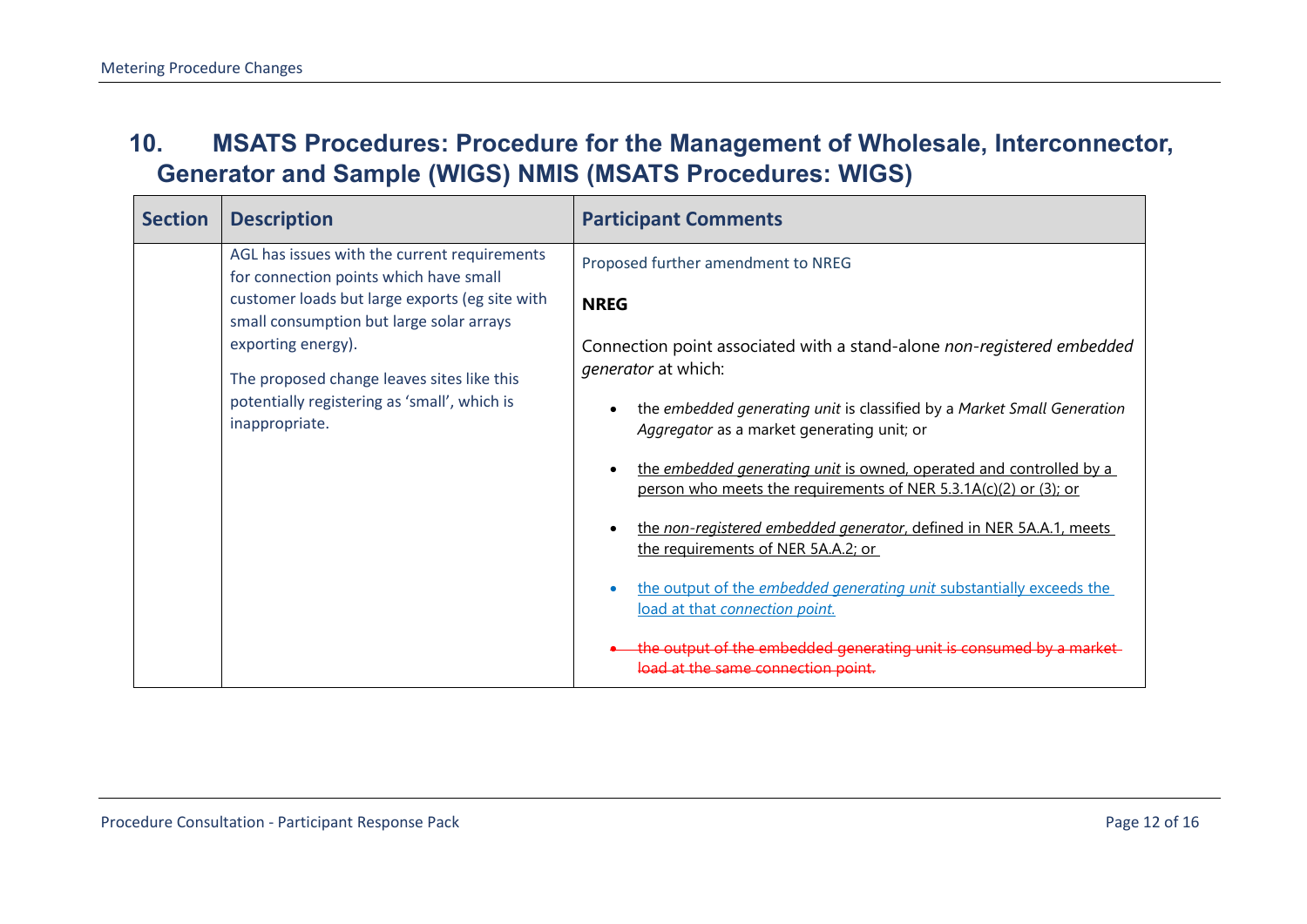#### **10. MSATS Procedures: Procedure for the Management of Wholesale, Interconnector, Generator and Sample (WIGS) NMIS (MSATS Procedures: WIGS)**

<span id="page-11-0"></span>

| <b>Section</b> | <b>Description</b>                                                                         | <b>Participant Comments</b>                                                                                                             |
|----------------|--------------------------------------------------------------------------------------------|-----------------------------------------------------------------------------------------------------------------------------------------|
|                | AGL has issues with the current requirements<br>for connection points which have small     | Proposed further amendment to NREG                                                                                                      |
|                | customer loads but large exports (eg site with<br>small consumption but large solar arrays | <b>NREG</b>                                                                                                                             |
|                | exporting energy).<br>The proposed change leaves sites like this                           | Connection point associated with a stand-alone non-registered embedded<br><i>generator</i> at which:                                    |
|                | potentially registering as 'small', which is<br>inappropriate.                             | the embedded generating unit is classified by a Market Small Generation<br>Aggregator as a market generating unit; or                   |
|                |                                                                                            | the embedded generating unit is owned, operated and controlled by a<br>person who meets the requirements of NER 5.3.1A(c)(2) or (3); or |
|                |                                                                                            | the non-registered embedded generator, defined in NER 5A.A.1, meets<br>the requirements of NER 5A.A.2; or                               |
|                |                                                                                            | the output of the embedded generating unit substantially exceeds the<br>load at that connection point.                                  |
|                |                                                                                            | the output of the embedded generating unit is consumed by a market<br>load at the same connection point.                                |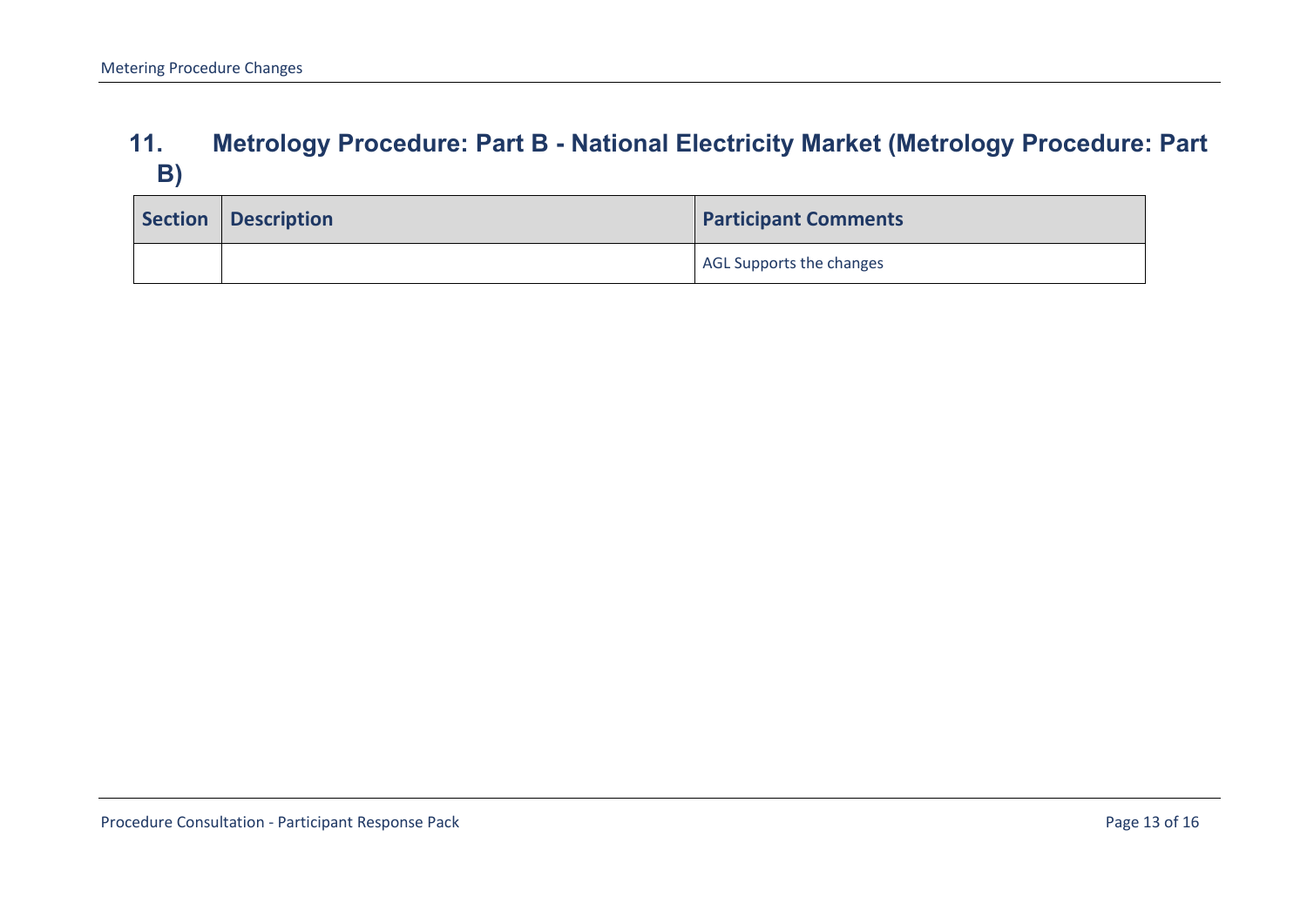#### **11. Metrology Procedure: Part B - National Electricity Market (Metrology Procedure: Part B)**

<span id="page-12-0"></span>

| Section   Description | <b>Participant Comments</b> |
|-----------------------|-----------------------------|
|                       | AGL Supports the changes    |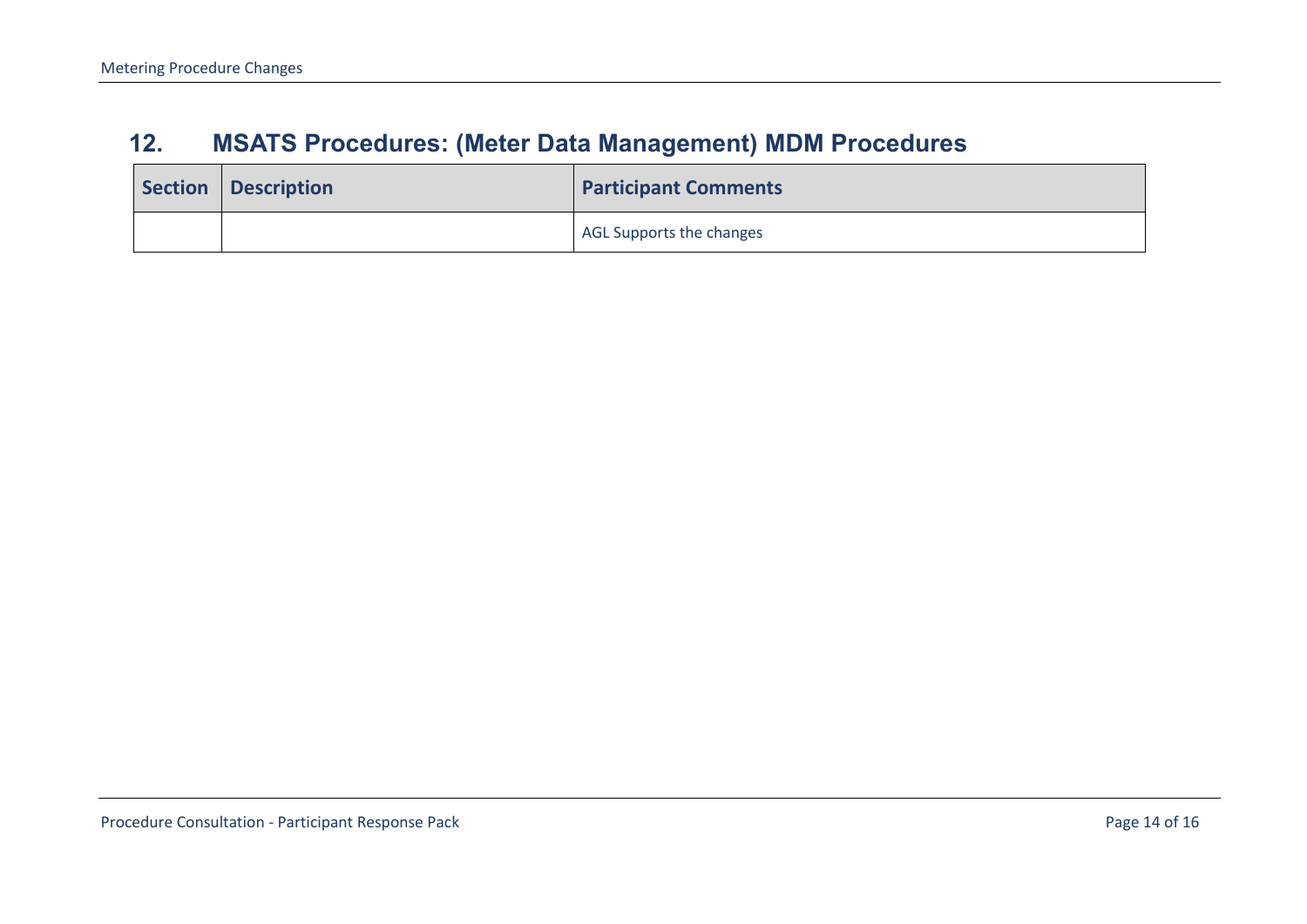### **12. MSATS Procedures: (Meter Data Management) MDM Procedures**

<span id="page-13-0"></span>

| Section   Description | <b>Participant Comments</b> |
|-----------------------|-----------------------------|
|                       | AGL Supports the changes    |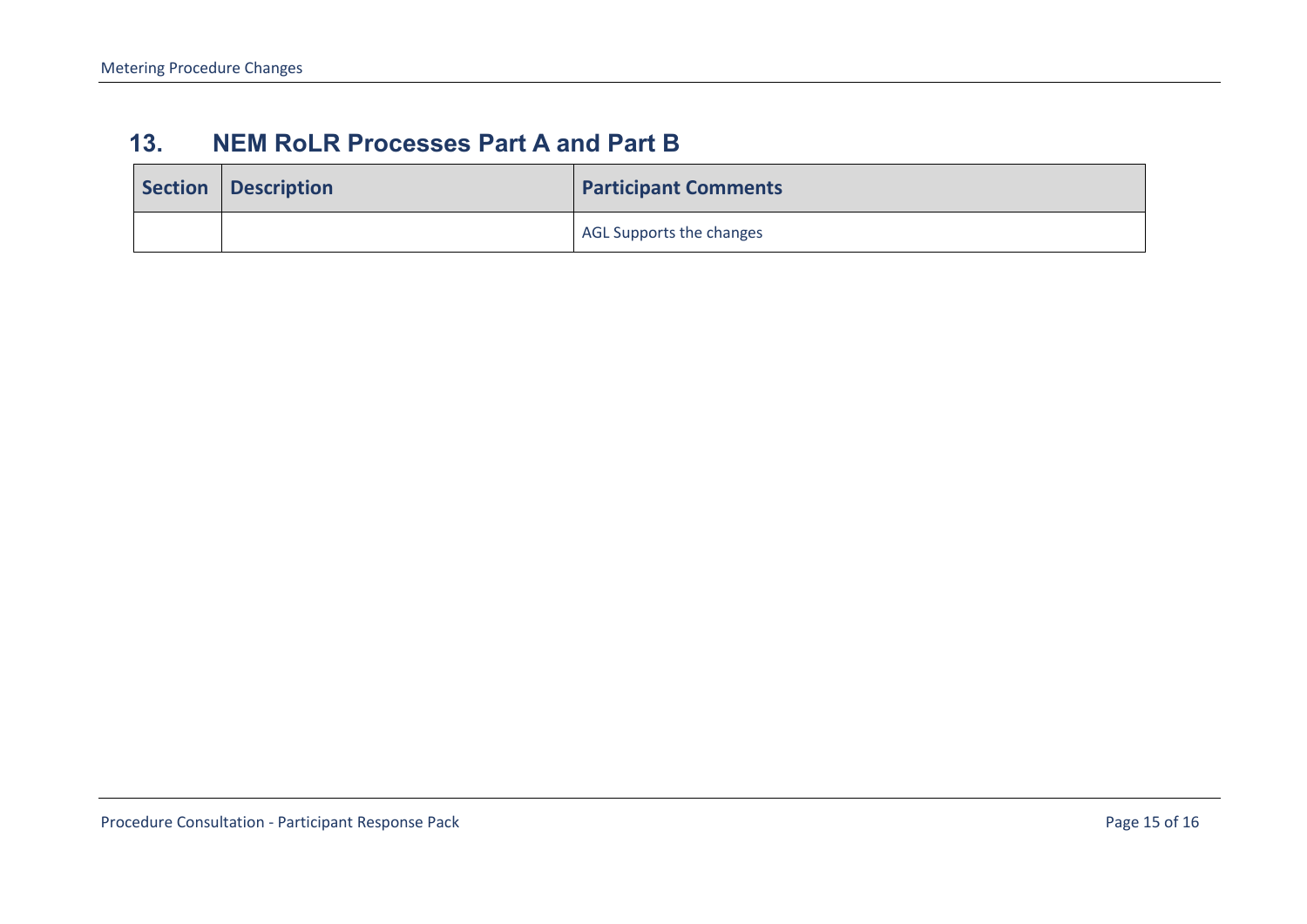#### **13. NEM RoLR Processes Part A and Part B**

<span id="page-14-0"></span>

| Section   Description | <b>Participant Comments</b> |
|-----------------------|-----------------------------|
|                       | AGL Supports the changes    |